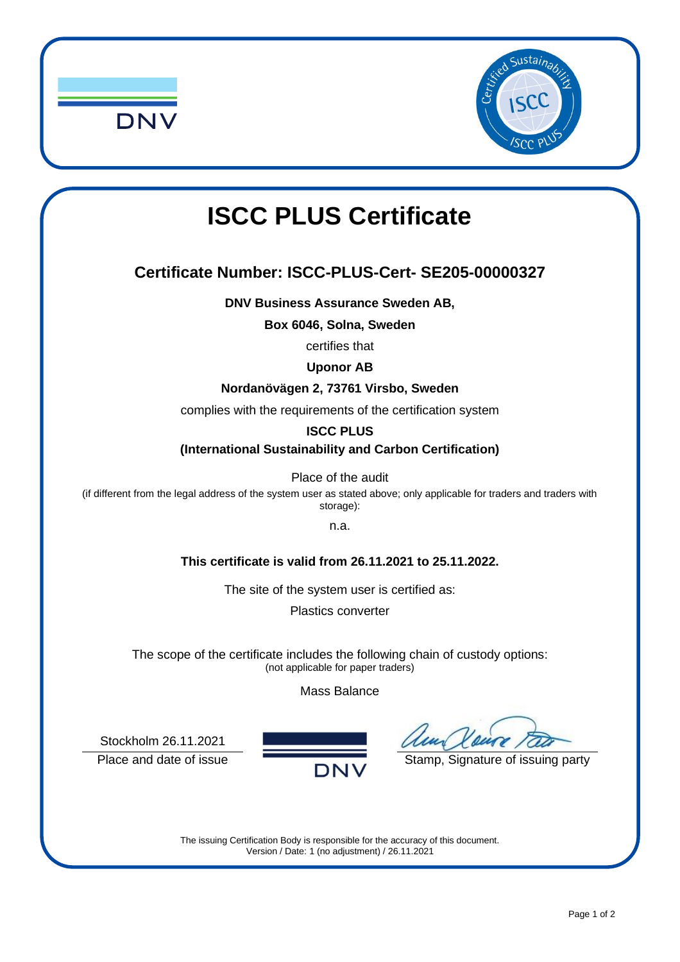



# **ISCC PLUS Certificate**

### **Certificate Number: ISCC-PLUS-Cert- SE205-00000327**

**DNV Business Assurance Sweden AB,**

**Box 6046, Solna, Sweden**

certifies that

#### **Uponor AB**

#### **Nordanövägen 2, 73761 Virsbo, Sweden**

complies with the requirements of the certification system

#### **ISCC PLUS**

**(International Sustainability and Carbon Certification)**

Place of the audit

(if different from the legal address of the system user as stated above; only applicable for traders and traders with storage):

n.a.

#### **This certificate is valid from 26.11.2021 to 25.11.2022.**

The site of the system user is certified as:

Plastics converter

The scope of the certificate includes the following chain of custody options: (not applicable for paper traders)

Mass Balance

Stockholm 26.11.2021